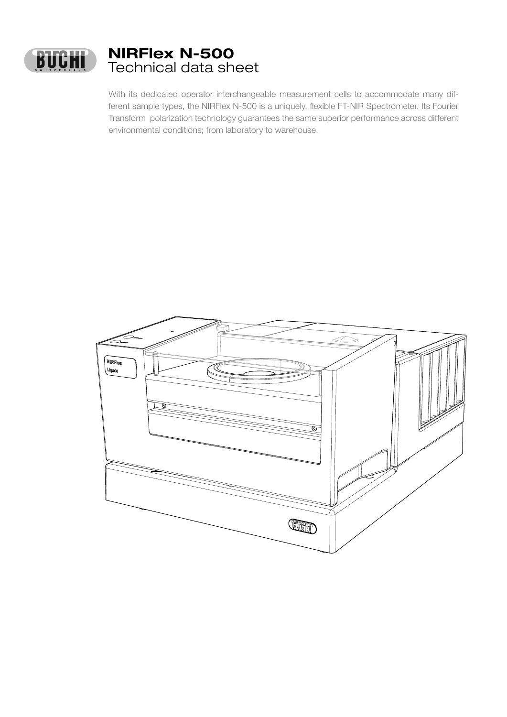

With its dedicated operator interchangeable measurement cells to accommodate many different sample types, the NIRFlex N-500 is a uniquely, flexible FT-NIR Spectrometer. Its Fourier Transform polarization technology guarantees the same superior performance across different environmental conditions; from laboratory to warehouse.

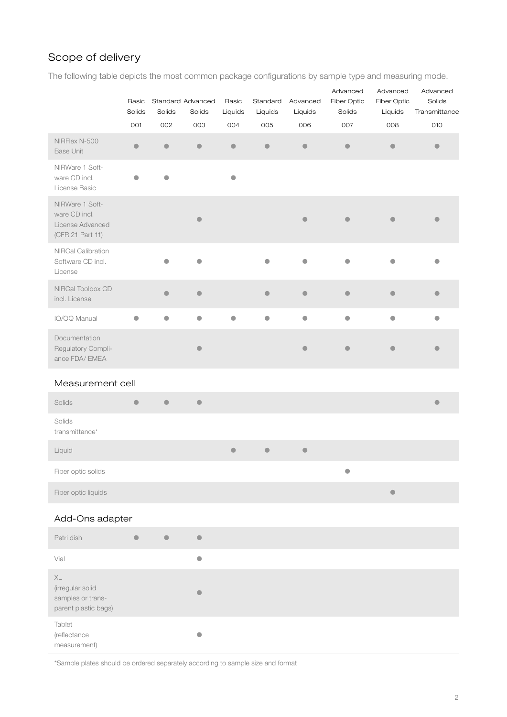# Scope of delivery

The following table depicts the most common package configurations by sample type and measuring mode.

|                                                                          | <b>Basic</b><br>Solids | Solids    | Standard Advanced<br>Solids | <b>Basic</b><br>Liquids | Standard<br>Liquids | Advanced<br>Liquids | Advanced<br>Fiber Optic<br>Solids | Advanced<br>Fiber Optic<br>Liquids | Advanced<br>Solids<br>Transmittance |
|--------------------------------------------------------------------------|------------------------|-----------|-----------------------------|-------------------------|---------------------|---------------------|-----------------------------------|------------------------------------|-------------------------------------|
|                                                                          | 001                    | 002       | 003                         | 004                     | 005                 | 006                 | 007                               | 008                                | 010                                 |
| NIRFlex N-500<br><b>Base Unit</b>                                        | $\bullet$              | $\bullet$ | $\bullet$                   | $\bullet$               | $\bullet$           | $\bullet$           | $\bullet$                         | $\bullet$                          | $\bullet$                           |
| NIRWare 1 Soft-<br>ware CD incl.<br>License Basic                        | $\bullet$              | $\bullet$ |                             | $\bullet$               |                     |                     |                                   |                                    |                                     |
| NIRWare 1 Soft-<br>ware CD incl.<br>License Advanced<br>(CFR 21 Part 11) |                        |           | $\bullet$                   |                         |                     |                     |                                   |                                    |                                     |
| NIRCal Calibration<br>Software CD incl.<br>License                       |                        | ●         | $\bullet$                   |                         |                     | ●                   |                                   |                                    |                                     |
| NIRCal Toolbox CD<br>incl. License                                       |                        | $\bullet$ | $\bullet$                   |                         | $\bullet$           | $\bullet$           | $\bullet$                         | $\blacksquare$                     | O                                   |
| IQ/OQ Manual                                                             | $\bullet$              | $\bullet$ | $\bullet$                   | $\bullet$               | $\bullet$           | $\bullet$           | $\bullet$                         | $\bullet$                          | $\bullet$                           |
| Documentation<br>Regulatory Compli-<br>ance FDA/ EMEA                    |                        |           | $\bullet$                   |                         |                     |                     |                                   |                                    |                                     |
| Measurement cell                                                         |                        |           |                             |                         |                     |                     |                                   |                                    |                                     |
| Solids                                                                   | $\bullet$              | $\bullet$ | $\bullet$                   |                         |                     |                     |                                   |                                    | $\bullet$                           |
| Solids<br>transmittance*                                                 |                        |           |                             |                         |                     |                     |                                   |                                    |                                     |
| Liquid                                                                   |                        |           |                             | $\bullet$               | $\bullet$           | $\bullet$           |                                   |                                    |                                     |
| Fiber optic solids                                                       |                        |           |                             |                         |                     |                     | $\bullet$                         |                                    |                                     |
| Fiber optic liquids                                                      |                        |           |                             |                         |                     |                     |                                   | $\qquad \qquad \bullet$            |                                     |
| Add-Ons adapter                                                          |                        |           |                             |                         |                     |                     |                                   |                                    |                                     |
| Petri dish                                                               | $\bullet$              | $\bullet$ | $\bullet$                   |                         |                     |                     |                                   |                                    |                                     |
| Vial                                                                     |                        |           | $\bullet$                   |                         |                     |                     |                                   |                                    |                                     |
| $\mathsf{XL}$<br>(irregular solid                                        |                        |           |                             |                         |                     |                     |                                   |                                    |                                     |

samples or transparent plastic bags) • Tablet (reflectance measurement) •

\*Sample plates should be ordered separately according to sample size and format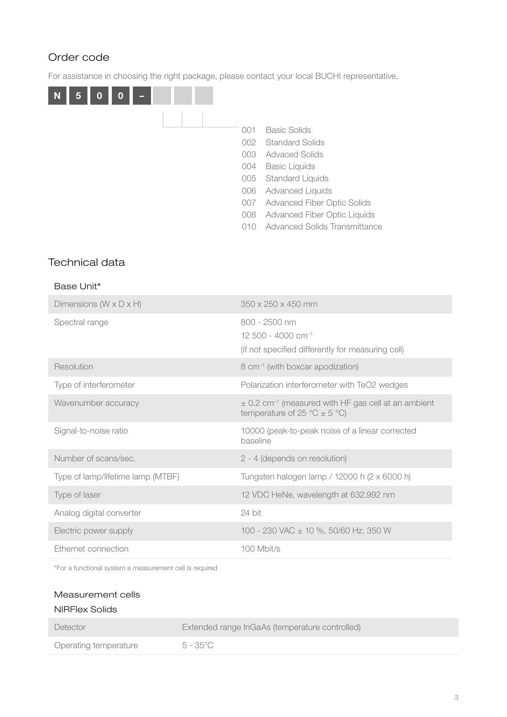# Order code

For assistance in choosing the right package, please contact your local BUCHI representative.



## Technical data

### Base Unit\*

| Dimensions ( $W \times D \times H$ ) | $350 \times 250 \times 450$ mm                                                                          |
|--------------------------------------|---------------------------------------------------------------------------------------------------------|
| Spectral range                       | 800 - 2500 nm<br>$12,500 - 4000$ cm <sup>-1</sup><br>(if not specified differently for measuring cell)  |
| Resolution                           | 8 cm <sup>-1</sup> (with boxcar apodization)                                                            |
| Type of interferometer               | Polarization interferometer with TeO2 wedges                                                            |
| Wavenumber accuracy                  | $\pm$ 0.2 cm <sup>-1</sup> (measured with HF gas cell at an ambient<br>temperature of 25 °C $\pm$ 5 °C) |
| Signal-to-noise ratio                | 10000 (peak-to-peak noise of a linear corrected<br>baseline                                             |
| Number of scans/sec.                 | 2 - 4 (depends on resolution)                                                                           |
| Type of lamp/lifetime lamp (MTBF)    | Tungsten halogen lamp / 12000 h (2 x 6000 h)                                                            |
| Type of laser                        | 12 VDC HeNe, wavelength at 632.992 nm                                                                   |
| Analog digital converter             | 24 bit                                                                                                  |
| Electric power supply                | 100 - 230 VAC ± 10 %, 50/60 Hz, 350 W                                                                   |
| Ethernet connection                  | 100 Mbit/s                                                                                              |

\*For a functional system a measurement cell is required

### Measurement cells

| NIRFlex Solids        |                                                |
|-----------------------|------------------------------------------------|
| Detector              | Extended range InGaAs (temperature controlled) |
| Operating temperature | $5 - 35^{\circ}$ C                             |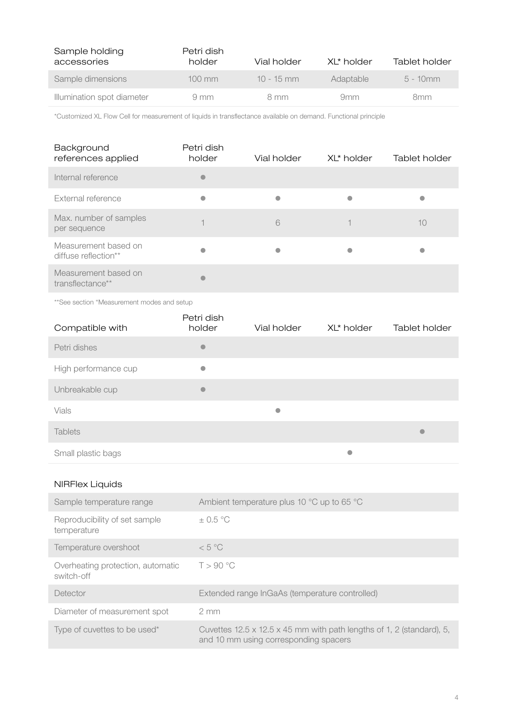| Sample holding<br>accessories | Petri dish<br>holder | Vial holder  | XL* holder | Tablet holder |
|-------------------------------|----------------------|--------------|------------|---------------|
| Sample dimensions             | $100 \text{ mm}$     | $10 - 15$ mm | Adaptable  | $5 - 10$ mm   |
| Illumination spot diameter    | $9 \text{ mm}$       | 8 mm         | 9mm        | 8mm           |

\*Customized XL Flow Cell for measurement of liquids in transflectance available on demand. Functional principle

| Background<br>references applied             | Petri dish<br>holder | Vial holder | XL* holder | Tablet holder |
|----------------------------------------------|----------------------|-------------|------------|---------------|
| Internal reference                           | $\bullet$            |             |            |               |
| External reference                           |                      |             |            |               |
| Max. number of samples<br>per sequence       |                      | 6           |            | 10            |
| Measurement based on<br>diffuse reflection** |                      |             |            |               |
| Measurement based on<br>transflectance**     |                      |             |            |               |

\*\*See section "Measurement modes and setup

| Compatible with      | Petri dish<br>holder | Vial holder | XL* holder | Tablet holder |
|----------------------|----------------------|-------------|------------|---------------|
| Petri dishes         | $\bullet$            |             |            |               |
| High performance cup | $\bullet$            |             |            |               |
| Unbreakable cup      | $\bullet$            |             |            |               |
| Vials                |                      | $\bullet$   |            |               |
| <b>Tablets</b>       |                      |             |            | $\bullet$     |
| Small plastic bags   |                      |             | $\bullet$  |               |

## NIRFlex Liquids

| Sample temperature range                        | Ambient temperature plus 10 °C up to 65 °C                                                                                 |
|-------------------------------------------------|----------------------------------------------------------------------------------------------------------------------------|
| Reproducibility of set sample<br>temperature    | $\pm$ 0.5 °C                                                                                                               |
| Temperature overshoot                           | < 5 °C                                                                                                                     |
| Overheating protection, automatic<br>switch-off | T > 90 °C                                                                                                                  |
| Detector                                        | Extended range InGaAs (temperature controlled)                                                                             |
| Diameter of measurement spot                    | $2 \text{ mm}$                                                                                                             |
| Type of cuvettes to be used*                    | Cuvettes $12.5 \times 12.5 \times 45$ mm with path lengths of 1, 2 (standard), 5,<br>and 10 mm using corresponding spacers |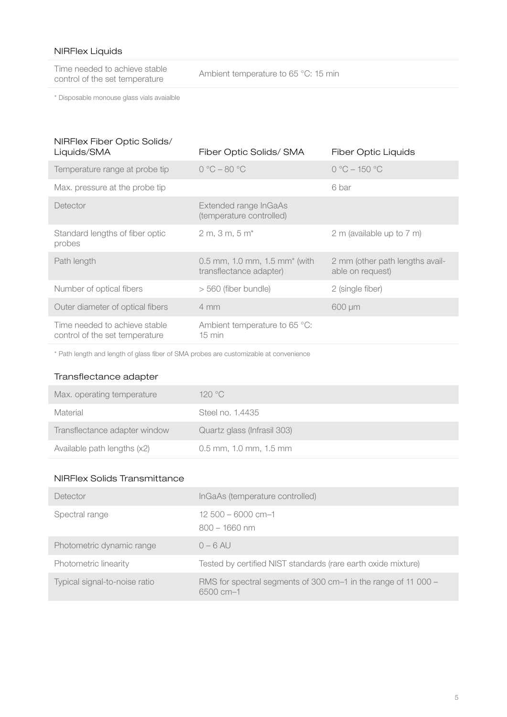## NIRFlex Liquids

Time needed to achieve stable<br>control of the set temperature

Ambient temperature to 65 °C: 15 min

\* Disposable monouse glass vials avaialble

| NIRFlex Fiber Optic Solids/<br>Liquids/SMA                      | Fiber Optic Solids/ SMA                                  | <b>Fiber Optic Liquids</b>                          |
|-----------------------------------------------------------------|----------------------------------------------------------|-----------------------------------------------------|
| Temperature range at probe tip                                  | $0 °C - 80 °C$                                           | $0 °C - 150 °C$                                     |
| Max. pressure at the probe tip                                  |                                                          | 6 bar                                               |
| Detector                                                        | Extended range InGaAs<br>(temperature controlled)        |                                                     |
| Standard lengths of fiber optic<br>probes                       | $2 m, 3 m, 5 m*$                                         | 2 m (available up to 7 m)                           |
| Path length                                                     | 0.5 mm, 1.0 mm, 1.5 mm* (with<br>transflectance adapter) | 2 mm (other path lengths avail-<br>able on request) |
| Number of optical fibers                                        | > 560 (fiber bundle)                                     | 2 (single fiber)                                    |
| Outer diameter of optical fibers                                | $4 \, \text{mm}$                                         | $600 \mu m$                                         |
| Time needed to achieve stable<br>control of the set temperature | Ambient temperature to 65 °C:<br>$15 \text{ min}$        |                                                     |
|                                                                 |                                                          |                                                     |

\* Path length and length of glass fiber of SMA probes are customizable at convenience

### Transflectance adapter

| Max. operating temperature    | 120 °C                      |
|-------------------------------|-----------------------------|
| Material                      | Steel no. 1.4435            |
| Transflectance adapter window | Quartz glass (Infrasil 303) |
| Available path lengths (x2)   | $0.5$ mm, 1.0 mm, 1.5 mm    |

#### NIRFlex Solids Transmittance

| Detector                      | InGaAs (temperature controlled)                                                    |
|-------------------------------|------------------------------------------------------------------------------------|
| Spectral range                | $12,500 - 6000$ cm-1<br>$800 - 1660$ nm                                            |
| Photometric dynamic range     | $0 - 6$ AU                                                                         |
| Photometric linearity         | Tested by certified NIST standards (rare earth oxide mixture)                      |
| Typical signal-to-noise ratio | RMS for spectral segments of 300 cm-1 in the range of 11 000 -<br>$6500 \, cm - 1$ |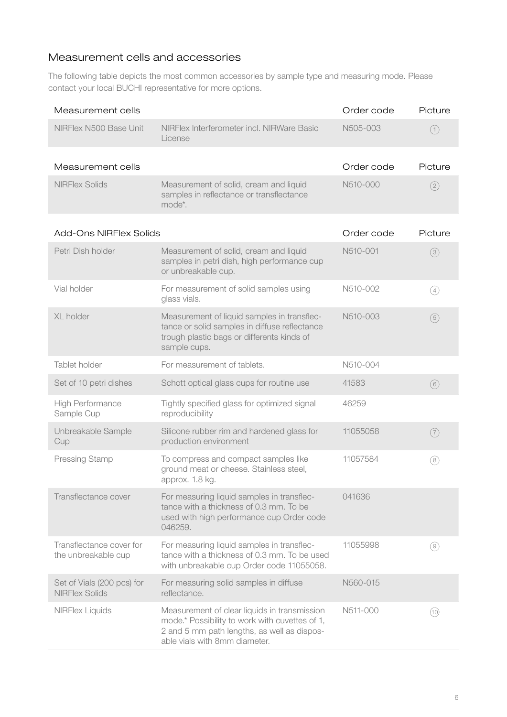# Measurement cells and accessories

The following table depicts the most common accessories by sample type and measuring mode. Please contact your local BUCHI representative for more options.

| Measurement cells                                   |                                                                                                                                                                                | Order code | Picture       |
|-----------------------------------------------------|--------------------------------------------------------------------------------------------------------------------------------------------------------------------------------|------------|---------------|
| NIRFlex N500 Base Unit                              | NIRFlex Interferometer incl. NIRWare Basic<br>License                                                                                                                          | N505-003   | (1)           |
| Measurement cells                                   |                                                                                                                                                                                | Order code | Picture       |
| <b>NIRFlex Solids</b>                               | Measurement of solid, cream and liquid<br>samples in reflectance or transflectance<br>mode*.                                                                                   | N510-000   | $\circled{2}$ |
| <b>Add-Ons NIRFlex Solids</b>                       |                                                                                                                                                                                | Order code | Picture       |
| Petri Dish holder                                   | Measurement of solid, cream and liquid<br>samples in petri dish, high performance cup<br>or unbreakable cup.                                                                   | N510-001   | (3)           |
| Vial holder                                         | For measurement of solid samples using<br>glass vials.                                                                                                                         | N510-002   | (4)           |
| XL holder                                           | Measurement of liquid samples in transflec-<br>tance or solid samples in diffuse reflectance<br>trough plastic bags or differents kinds of<br>sample cups.                     | N510-003   | (5)           |
| Tablet holder                                       | For measurement of tablets.                                                                                                                                                    | N510-004   |               |
| Set of 10 petri dishes                              | Schott optical glass cups for routine use                                                                                                                                      | 41583      | (6)           |
| High Performance<br>Sample Cup                      | Tightly specified glass for optimized signal<br>reproducibility                                                                                                                | 46259      |               |
| Unbreakable Sample<br>Cup                           | Silicone rubber rim and hardened glass for<br>production environment                                                                                                           | 11055058   | (7)           |
| Pressing Stamp                                      | To compress and compact samples like<br>ground meat or cheese. Stainless steel,<br>approx. 1.8 kg.                                                                             | 11057584   | (8)           |
| Transflectance cover                                | For measuring liquid samples in transflec-<br>tance with a thickness of 0.3 mm. To be<br>used with high performance cup Order code<br>046259.                                  | 041636     |               |
| Transflectance cover for<br>the unbreakable cup     | For measuring liquid samples in transflec-<br>tance with a thickness of 0.3 mm. To be used<br>with unbreakable cup Order code 11055058.                                        | 11055998   | (9)           |
| Set of Vials (200 pcs) for<br><b>NIRFlex Solids</b> | For measuring solid samples in diffuse<br>reflectance.                                                                                                                         | N560-015   |               |
| <b>NIRFlex Liquids</b>                              | Measurement of clear liquids in transmission<br>mode.* Possibility to work with cuvettes of 1,<br>2 and 5 mm path lengths, as well as dispos-<br>able vials with 8mm diameter. | N511-000   | (10)          |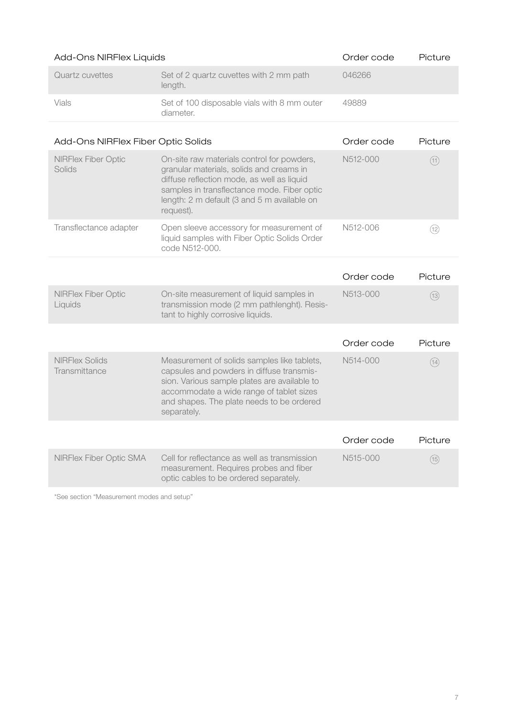| Add-Ons NIRFlex Liquids                |                                                                                                                                                                                                                                                  | Order code | Picture |
|----------------------------------------|--------------------------------------------------------------------------------------------------------------------------------------------------------------------------------------------------------------------------------------------------|------------|---------|
| <b>Quartz cuvettes</b>                 | Set of 2 quartz cuvettes with 2 mm path<br>length.                                                                                                                                                                                               | 046266     |         |
| Vials                                  | Set of 100 disposable vials with 8 mm outer<br>diameter.                                                                                                                                                                                         | 49889      |         |
| Add-Ons NIRFlex Fiber Optic Solids     |                                                                                                                                                                                                                                                  | Order code | Picture |
| <b>NIRFlex Fiber Optic</b><br>Solids   | On-site raw materials control for powders,<br>granular materials, solids and creams in<br>diffuse reflection mode, as well as liquid<br>samples in transflectance mode. Fiber optic<br>length: 2 m default (3 and 5 m available on<br>request).  | N512-000   | (11)    |
| Transflectance adapter                 | Open sleeve accessory for measurement of<br>liquid samples with Fiber Optic Solids Order<br>code N512-000.                                                                                                                                       | N512-006   | (12)    |
|                                        |                                                                                                                                                                                                                                                  | Order code | Picture |
| <b>NIRFlex Fiber Optic</b><br>Liquids  | On-site measurement of liquid samples in<br>transmission mode (2 mm pathlenght). Resis-<br>tant to highly corrosive liquids.                                                                                                                     | N513-000   | (13)    |
|                                        |                                                                                                                                                                                                                                                  | Order code | Picture |
| <b>NIRFlex Solids</b><br>Transmittance | Measurement of solids samples like tablets,<br>capsules and powders in diffuse transmis-<br>sion. Various sample plates are available to<br>accommodate a wide range of tablet sizes<br>and shapes. The plate needs to be ordered<br>separately. | N514-000   | (14)    |
|                                        |                                                                                                                                                                                                                                                  | Order code | Picture |
| NIRFlex Fiber Optic SMA                | Cell for reflectance as well as transmission<br>measurement. Requires probes and fiber<br>optic cables to be ordered separately.                                                                                                                 | N515-000   | (15)    |

\*See section "Measurement modes and setup"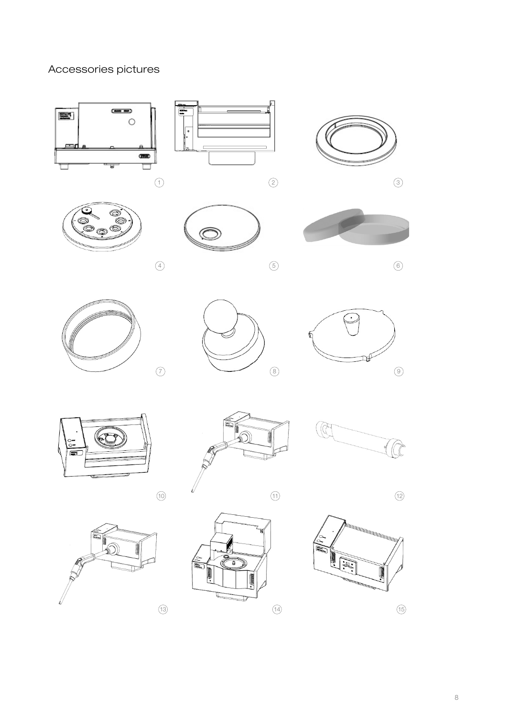# Accessories pictures

































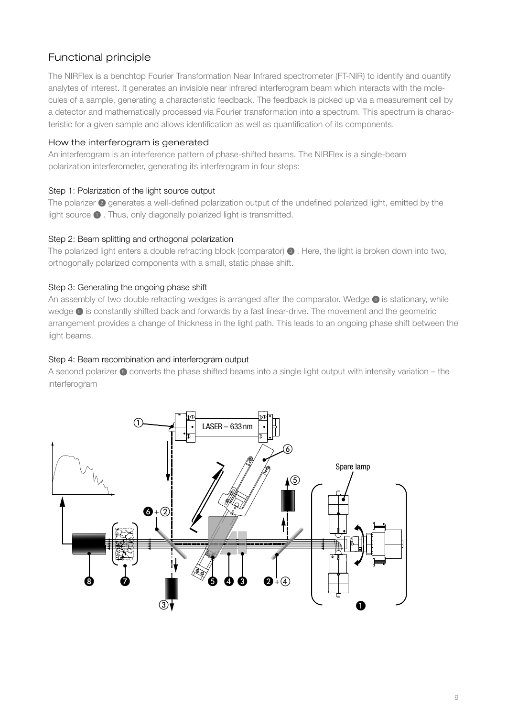# Functional principle

The NIRFlex is a benchtop Fourier Transformation Near Infrared spectrometer (FT-NIR) to identify and quantify analytes of interest. It generates an invisible near infrared interferogram beam which interacts with the molecules of a sample, generating a characteristic feedback. The feedback is picked up via a measurement cell by a detector and mathematically processed via Fourier transformation into a spectrum. This spectrum is characteristic for a given sample and allows identification as well as quantification of its components.

### How the interferogram is generated

An interferogram is an interference pattern of phase-shifted beams. The NIRFlex is a single-beam polarization interferometer, generating its interferogram in four steps:

## Step 1: Polarization of the light source output

The polarizer 2 generates a well-defined polarization output of the undefined polarized light, emitted by the light source  $\bigcirc$  . Thus, only diagonally polarized light is transmitted.

## Step 2: Beam splitting and orthogonal polarization

The polarized light enters a double refracting block (comparator)  $\bullet$  . Here, the light is broken down into two, orthogonally polarized components with a small, static phase shift.

## Step 3: Generating the ongoing phase shift

An assembly of two double refracting wedges is arranged after the comparator. Wedge  $\bullet$  is stationary, while wedge  $\Theta$  is constantly shifted back and forwards by a fast linear-drive. The movement and the geometric arrangement provides a change of thickness in the light path. This leads to an ongoing phase shift between the light beams.  $\frac{1}{2}$  fraction of the beam is splitted at the polarizer  $\frac{1}{2}$  and picked up by and picked up by an intense up by an intense up by an intense up by an intense up by an intense up by an intense up by an intense up b sity sensor � to monitor the laser beam quality. The position and movement-frequency of the wedge

# Step 4: Beam recombination and interferogram output

A second polarizer  $\odot$  converts the phase shifted beams into a single light output with intensity variation – the interferogram detected via the the "Laser sensor" �, giving precise information about velocity and (relative) position  $\alpha$  the feedback signal is used to control the velocity of the velocity of the linear drive  $\alpha$ 

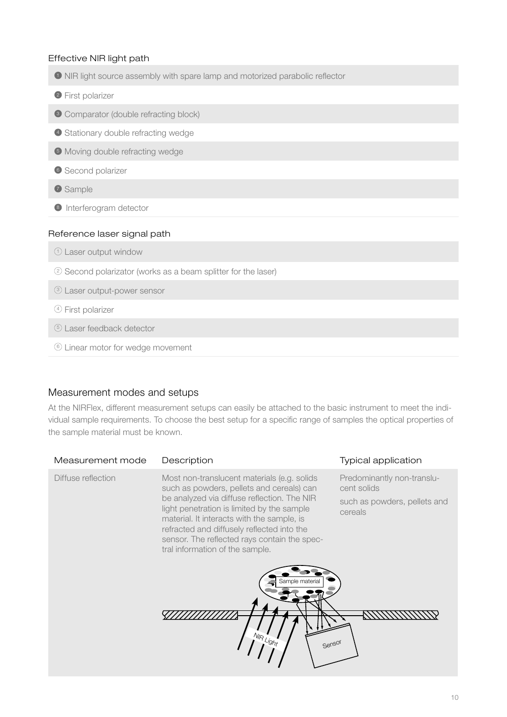### Effective NIR light path

- 1 NIR light source assembly with spare lamp and motorized parabolic reflector
- <sup>2</sup> First polarizer
- <sup>3</sup> Comparator (double refracting block)
- 4 Stationary double refracting wedge
- 5 Moving double refracting wedge
- **6** Second polarizer
- **O** Sample
- <sup>8</sup> Interferogram detector

### Reference laser signal path

- 1 Laser output window
- 2 Second polarizator (works as a beam splitter for the laser)
- 3 Laser output-power sensor
- 4 First polarizer
- 5 Laser feedback detector
- 6 Linear motor for wedge movement

### Measurement modes and setups

At the NIRFlex, different measurement setups can easily be attached to the basic instrument to meet the individual sample requirements. To choose the best setup for a specific range of samples the optical properties of the sample material must be known.

| Measurement mode   | Description                                                                                                                                                                                                                                                                                 | Typical application                       |
|--------------------|---------------------------------------------------------------------------------------------------------------------------------------------------------------------------------------------------------------------------------------------------------------------------------------------|-------------------------------------------|
| Diffuse reflection | Most non-translucent materials (e.g. solids<br>such as powders, pellets and cereals) can                                                                                                                                                                                                    | Predominantly non-translu-<br>cent solids |
|                    | be analyzed via diffuse reflection. The NIR<br>light penetration is limited by the sample<br>material. It interacts with the sample, is<br>refracted and diffusely reflected into the<br>sensor. The reflected rays contain the spec-<br>tral information of the sample.<br>Sample material | such as powders, pellets and<br>cereals   |
|                    | $N_{1/2}$<br>4.96<br>Sensor                                                                                                                                                                                                                                                                 |                                           |